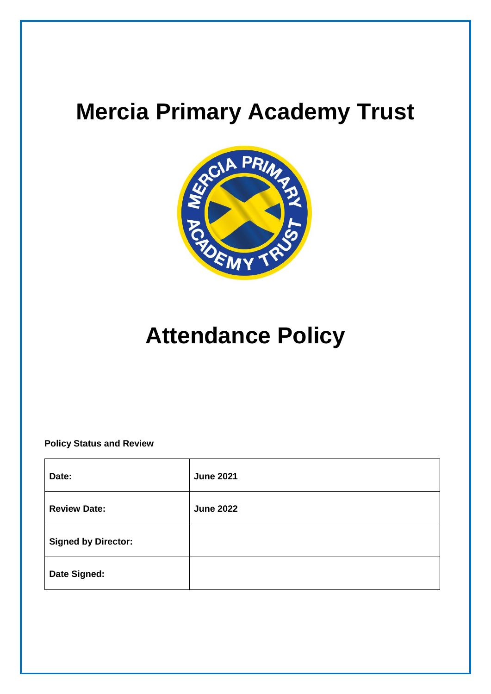# **Mercia Primary Academy Trust**



# **Attendance Policy**

# **Policy Status and Review**

| Date:                      | <b>June 2021</b> |
|----------------------------|------------------|
| <b>Review Date:</b>        | <b>June 2022</b> |
| <b>Signed by Director:</b> |                  |
| Date Signed:               |                  |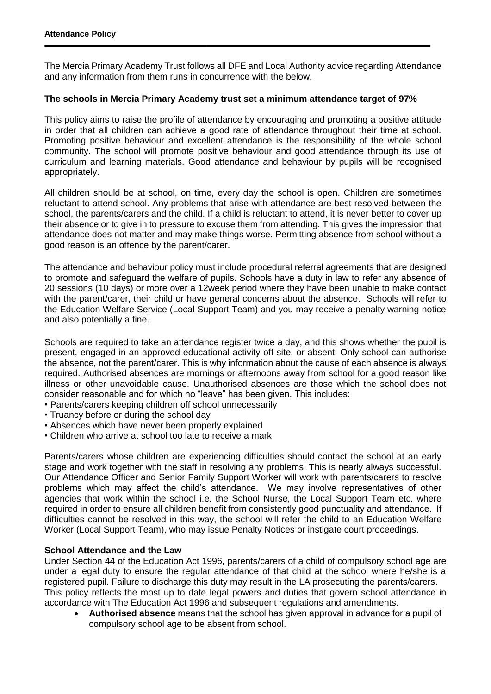The Mercia Primary Academy Trust follows all DFE and Local Authority advice regarding Attendance and any information from them runs in concurrence with the below.

## **The schools in Mercia Primary Academy trust set a minimum attendance target of 97%**

This policy aims to raise the profile of attendance by encouraging and promoting a positive attitude in order that all children can achieve a good rate of attendance throughout their time at school. Promoting positive behaviour and excellent attendance is the responsibility of the whole school community. The school will promote positive behaviour and good attendance through its use of curriculum and learning materials. Good attendance and behaviour by pupils will be recognised appropriately.

All children should be at school, on time, every day the school is open. Children are sometimes reluctant to attend school. Any problems that arise with attendance are best resolved between the school, the parents/carers and the child. If a child is reluctant to attend, it is never better to cover up their absence or to give in to pressure to excuse them from attending. This gives the impression that attendance does not matter and may make things worse. Permitting absence from school without a good reason is an offence by the parent/carer.

The attendance and behaviour policy must include procedural referral agreements that are designed to promote and safeguard the welfare of pupils. Schools have a duty in law to refer any absence of 20 sessions (10 days) or more over a 12week period where they have been unable to make contact with the parent/carer, their child or have general concerns about the absence. Schools will refer to the Education Welfare Service (Local Support Team) and you may receive a penalty warning notice and also potentially a fine.

Schools are required to take an attendance register twice a day, and this shows whether the pupil is present, engaged in an approved educational activity off-site, or absent. Only school can authorise the absence, not the parent/carer. This is why information about the cause of each absence is always required. Authorised absences are mornings or afternoons away from school for a good reason like illness or other unavoidable cause. Unauthorised absences are those which the school does not consider reasonable and for which no "leave" has been given. This includes:

- Parents/carers keeping children off school unnecessarily
- Truancy before or during the school day
- Absences which have never been properly explained
- Children who arrive at school too late to receive a mark

Parents/carers whose children are experiencing difficulties should contact the school at an early stage and work together with the staff in resolving any problems. This is nearly always successful. Our Attendance Officer and Senior Family Support Worker will work with parents/carers to resolve problems which may affect the child's attendance. We may involve representatives of other agencies that work within the school i.e. the School Nurse, the Local Support Team etc. where required in order to ensure all children benefit from consistently good punctuality and attendance. If difficulties cannot be resolved in this way, the school will refer the child to an Education Welfare Worker (Local Support Team), who may issue Penalty Notices or instigate court proceedings.

## **School Attendance and the Law**

Under Section 44 of the Education Act 1996, parents/carers of a child of compulsory school age are under a legal duty to ensure the regular attendance of that child at the school where he/she is a registered pupil. Failure to discharge this duty may result in the LA prosecuting the parents/carers. This policy reflects the most up to date legal powers and duties that govern school attendance in accordance with The Education Act 1996 and subsequent regulations and amendments.

 **Authorised absence** means that the school has given approval in advance for a pupil of compulsory school age to be absent from school.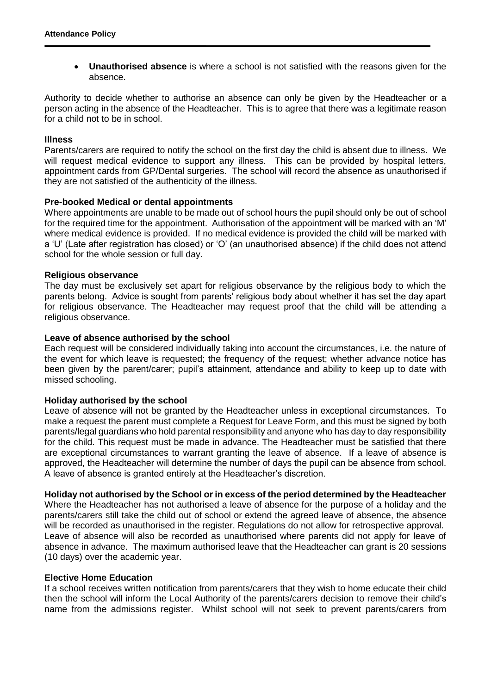**Unauthorised absence** is where a school is not satisfied with the reasons given for the absence.

Authority to decide whether to authorise an absence can only be given by the Headteacher or a person acting in the absence of the Headteacher. This is to agree that there was a legitimate reason for a child not to be in school.

#### **Illness**

Parents/carers are required to notify the school on the first day the child is absent due to illness. We will request medical evidence to support any illness. This can be provided by hospital letters, appointment cards from GP/Dental surgeries. The school will record the absence as unauthorised if they are not satisfied of the authenticity of the illness.

#### **Pre-booked Medical or dental appointments**

Where appointments are unable to be made out of school hours the pupil should only be out of school for the required time for the appointment. Authorisation of the appointment will be marked with an 'M' where medical evidence is provided. If no medical evidence is provided the child will be marked with a 'U' (Late after registration has closed) or 'O' (an unauthorised absence) if the child does not attend school for the whole session or full day.

#### **Religious observance**

The day must be exclusively set apart for religious observance by the religious body to which the parents belong. Advice is sought from parents' religious body about whether it has set the day apart for religious observance. The Headteacher may request proof that the child will be attending a religious observance.

#### **Leave of absence authorised by the school**

Each request will be considered individually taking into account the circumstances, i.e. the nature of the event for which leave is requested; the frequency of the request; whether advance notice has been given by the parent/carer; pupil's attainment, attendance and ability to keep up to date with missed schooling.

#### **Holiday authorised by the school**

Leave of absence will not be granted by the Headteacher unless in exceptional circumstances. To make a request the parent must complete a Request for Leave Form, and this must be signed by both parents/legal guardians who hold parental responsibility and anyone who has day to day responsibility for the child. This request must be made in advance. The Headteacher must be satisfied that there are exceptional circumstances to warrant granting the leave of absence. If a leave of absence is approved, the Headteacher will determine the number of days the pupil can be absence from school. A leave of absence is granted entirely at the Headteacher's discretion.

#### **Holiday not authorised by the School or in excess of the period determined by the Headteacher**

Where the Headteacher has not authorised a leave of absence for the purpose of a holiday and the parents/carers still take the child out of school or extend the agreed leave of absence, the absence will be recorded as unauthorised in the register. Regulations do not allow for retrospective approval. Leave of absence will also be recorded as unauthorised where parents did not apply for leave of absence in advance. The maximum authorised leave that the Headteacher can grant is 20 sessions (10 days) over the academic year.

#### **Elective Home Education**

If a school receives written notification from parents/carers that they wish to home educate their child then the school will inform the Local Authority of the parents/carers decision to remove their child's name from the admissions register. Whilst school will not seek to prevent parents/carers from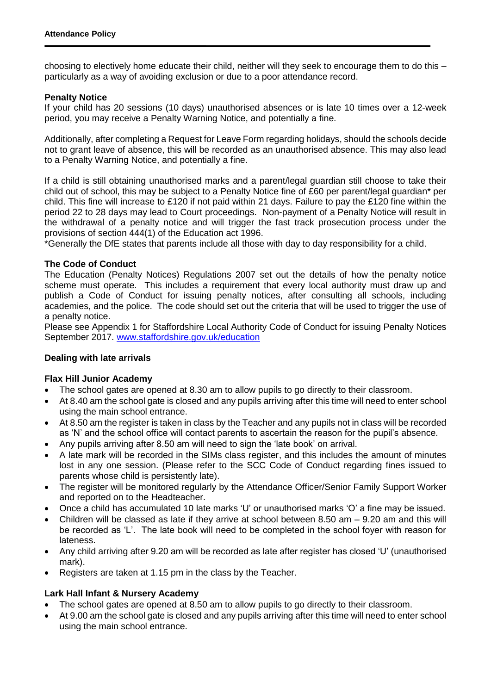choosing to electively home educate their child, neither will they seek to encourage them to do this – particularly as a way of avoiding exclusion or due to a poor attendance record.

#### **Penalty Notice**

If your child has 20 sessions (10 days) unauthorised absences or is late 10 times over a 12-week period, you may receive a Penalty Warning Notice, and potentially a fine.

Additionally, after completing a Request for Leave Form regarding holidays, should the schools decide not to grant leave of absence, this will be recorded as an unauthorised absence. This may also lead to a Penalty Warning Notice, and potentially a fine.

If a child is still obtaining unauthorised marks and a parent/legal guardian still choose to take their child out of school, this may be subject to a Penalty Notice fine of £60 per parent/legal guardian\* per child. This fine will increase to £120 if not paid within 21 days. Failure to pay the £120 fine within the period 22 to 28 days may lead to Court proceedings. Non-payment of a Penalty Notice will result in the withdrawal of a penalty notice and will trigger the fast track prosecution process under the provisions of section 444(1) of the Education act 1996.

\*Generally the DfE states that parents include all those with day to day responsibility for a child.

#### **The Code of Conduct**

The Education (Penalty Notices) Regulations 2007 set out the details of how the penalty notice scheme must operate. This includes a requirement that every local authority must draw up and publish a Code of Conduct for issuing penalty notices, after consulting all schools, including academies, and the police. The code should set out the criteria that will be used to trigger the use of a penalty notice.

Please see Appendix 1 for Staffordshire Local Authority Code of Conduct for issuing Penalty Notices September 2017. [www.staffordshire.gov.uk/education](http://www.staffordshire.gov.uk/education)

## **Dealing with late arrivals**

## **Flax Hill Junior Academy**

- The school gates are opened at 8.30 am to allow pupils to go directly to their classroom.
- At 8.40 am the school gate is closed and any pupils arriving after this time will need to enter school using the main school entrance.
- At 8.50 am the register is taken in class by the Teacher and any pupils not in class will be recorded as 'N' and the school office will contact parents to ascertain the reason for the pupil's absence.
- Any pupils arriving after 8.50 am will need to sign the 'late book' on arrival.
- A late mark will be recorded in the SIMs class register, and this includes the amount of minutes lost in any one session. (Please refer to the SCC Code of Conduct regarding fines issued to parents whose child is persistently late).
- The register will be monitored regularly by the Attendance Officer/Senior Family Support Worker and reported on to the Headteacher.
- Once a child has accumulated 10 late marks 'U' or unauthorised marks 'O' a fine may be issued.
- Children will be classed as late if they arrive at school between 8.50 am 9.20 am and this will be recorded as 'L'. The late book will need to be completed in the school foyer with reason for lateness.
- Any child arriving after 9.20 am will be recorded as late after register has closed 'U' (unauthorised mark).
- Registers are taken at 1.15 pm in the class by the Teacher.

## **Lark Hall Infant & Nursery Academy**

- The school gates are opened at 8.50 am to allow pupils to go directly to their classroom.
- At 9.00 am the school gate is closed and any pupils arriving after this time will need to enter school using the main school entrance.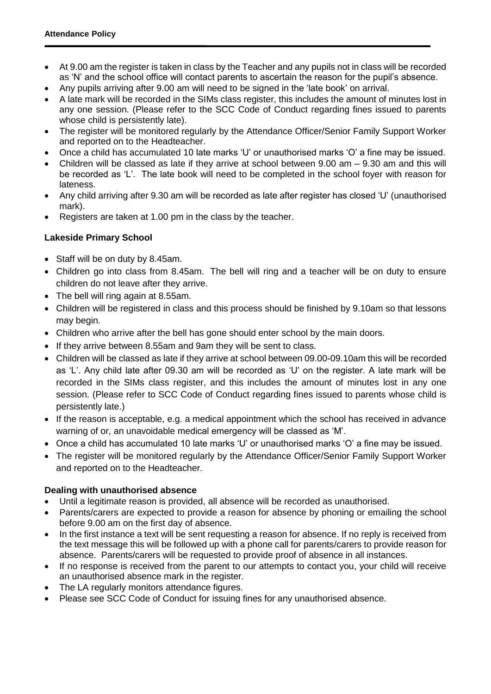- At 9.00 am the register is taken in class by the Teacher and any pupils not in class will be recorded as 'N' and the school office will contact parents to ascertain the reason for the pupil's absence.
- Any pupils arriving after 9.00 am will need to be signed in the 'late book' on arrival.
- A late mark will be recorded in the SIMs class register, this includes the amount of minutes lost in any one session. (Please refer to the SCC Code of Conduct regarding fines issued to parents whose child is persistently late).
- The register will be monitored regularly by the Attendance Officer/Senior Family Support Worker and reported on to the Headteacher.
- Once a child has accumulated 10 late marks 'U' or unauthorised marks 'O' a fine may be issued.
- Children will be classed as late if they arrive at school between 9.00 am 9.30 am and this will be recorded as 'L'. The late book will need to be completed in the school foyer with reason for lateness.
- Any child arriving after 9.30 am will be recorded as late after register has closed 'U' (unauthorised mark).
- Registers are taken at 1.00 pm in the class by the teacher.

## **Lakeside Primary School**

- Staff will be on duty by 8.45am.
- Children go into class from 8.45am. The bell will ring and a teacher will be on duty to ensure children do not leave after they arrive.
- The bell will ring again at 8.55am.
- Children will be registered in class and this process should be finished by 9.10am so that lessons may begin.
- Children who arrive after the bell has gone should enter school by the main doors.
- If they arrive between 8.55am and 9am they will be sent to class.
- Children will be classed as late if they arrive at school between 09.00-09.10am this will be recorded as 'L'. Any child late after 09.30 am will be recorded as 'U' on the register. A late mark will be recorded in the SIMs class register, and this includes the amount of minutes lost in any one session. (Please refer to SCC Code of Conduct regarding fines issued to parents whose child is persistently late.)
- If the reason is acceptable, e.g. a medical appointment which the school has received in advance warning of or, an unavoidable medical emergency will be classed as 'M'.
- Once a child has accumulated 10 late marks 'U' or unauthorised marks 'O' a fine may be issued.
- The register will be monitored regularly by the Attendance Officer/Senior Family Support Worker and reported on to the Headteacher.

## **Dealing with unauthorised absence**

- Until a legitimate reason is provided, all absence will be recorded as unauthorised.
- Parents/carers are expected to provide a reason for absence by phoning or emailing the school before 9.00 am on the first day of absence.
- In the first instance a text will be sent requesting a reason for absence. If no reply is received from the text message this will be followed up with a phone call for parents/carers to provide reason for absence. Parents/carers will be requested to provide proof of absence in all instances.
- If no response is received from the parent to our attempts to contact you, your child will receive an unauthorised absence mark in the register.
- The LA regularly monitors attendance figures.
- Please see SCC Code of Conduct for issuing fines for any unauthorised absence.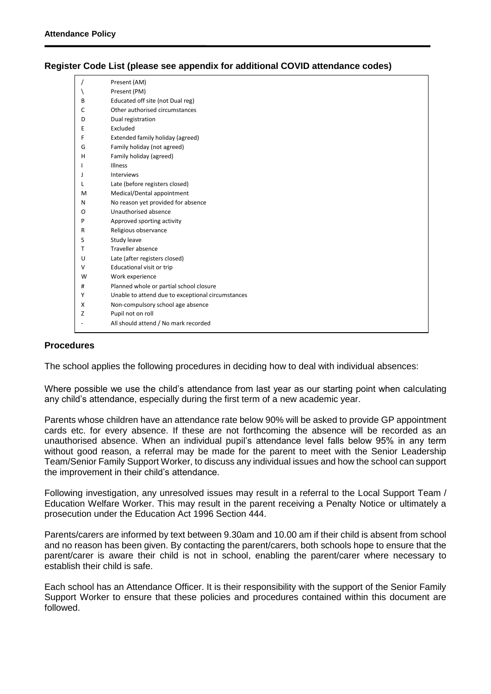|                | Present (AM)                                      |  |  |
|----------------|---------------------------------------------------|--|--|
|                | Present (PM)                                      |  |  |
| В              | Educated off site (not Dual reg)                  |  |  |
| C              | Other authorised circumstances                    |  |  |
| D              | Dual registration                                 |  |  |
| Ε              | Excluded                                          |  |  |
| F              | Extended family holiday (agreed)                  |  |  |
| G              | Family holiday (not agreed)                       |  |  |
| н              | Family holiday (agreed)                           |  |  |
|                | <b>Illness</b>                                    |  |  |
| ı              | Interviews                                        |  |  |
|                | Late (before registers closed)                    |  |  |
| M              | Medical/Dental appointment                        |  |  |
| Ν              | No reason yet provided for absence                |  |  |
| Ο              | Unauthorised absence                              |  |  |
| P              | Approved sporting activity                        |  |  |
| R              | Religious observance                              |  |  |
| S              | Study leave                                       |  |  |
| т              | Traveller absence                                 |  |  |
| U              | Late (after registers closed)                     |  |  |
| v              | Educational visit or trip                         |  |  |
| W              | Work experience                                   |  |  |
| #              | Planned whole or partial school closure           |  |  |
| Υ              | Unable to attend due to exceptional circumstances |  |  |
| X              | Non-compulsory school age absence                 |  |  |
| Z              | Pupil not on roll                                 |  |  |
| $\overline{a}$ | All should attend / No mark recorded              |  |  |

## **Register Code List (please see appendix for additional COVID attendance codes)**

#### **Procedures**

The school applies the following procedures in deciding how to deal with individual absences:

Where possible we use the child's attendance from last year as our starting point when calculating any child's attendance, especially during the first term of a new academic year.

Parents whose children have an attendance rate below 90% will be asked to provide GP appointment cards etc. for every absence. If these are not forthcoming the absence will be recorded as an unauthorised absence. When an individual pupil's attendance level falls below 95% in any term without good reason, a referral may be made for the parent to meet with the Senior Leadership Team/Senior Family Support Worker, to discuss any individual issues and how the school can support the improvement in their child's attendance.

Following investigation, any unresolved issues may result in a referral to the Local Support Team / Education Welfare Worker. This may result in the parent receiving a Penalty Notice or ultimately a prosecution under the Education Act 1996 Section 444.

Parents/carers are informed by text between 9.30am and 10.00 am if their child is absent from school and no reason has been given. By contacting the parent/carers, both schools hope to ensure that the parent/carer is aware their child is not in school, enabling the parent/carer where necessary to establish their child is safe.

Each school has an Attendance Officer. It is their responsibility with the support of the Senior Family Support Worker to ensure that these policies and procedures contained within this document are followed.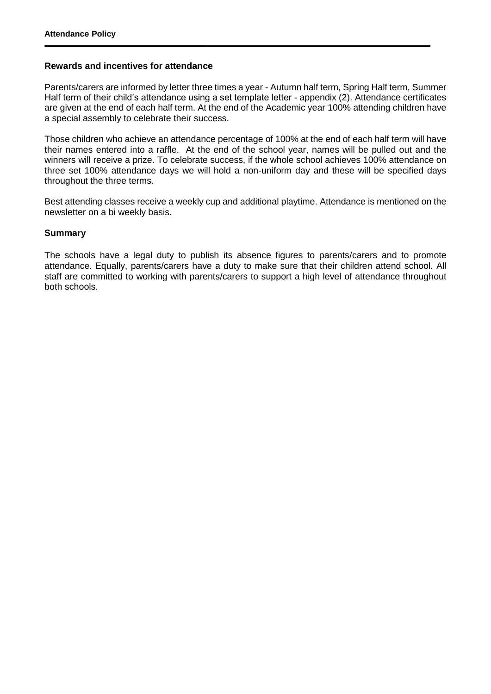#### **Rewards and incentives for attendance**

Parents/carers are informed by letter three times a year - Autumn half term, Spring Half term, Summer Half term of their child's attendance using a set template letter - appendix (2). Attendance certificates are given at the end of each half term. At the end of the Academic year 100% attending children have a special assembly to celebrate their success.

Those children who achieve an attendance percentage of 100% at the end of each half term will have their names entered into a raffle. At the end of the school year, names will be pulled out and the winners will receive a prize. To celebrate success, if the whole school achieves 100% attendance on three set 100% attendance days we will hold a non-uniform day and these will be specified days throughout the three terms.

Best attending classes receive a weekly cup and additional playtime. Attendance is mentioned on the newsletter on a bi weekly basis.

#### **Summary**

The schools have a legal duty to publish its absence figures to parents/carers and to promote attendance. Equally, parents/carers have a duty to make sure that their children attend school. All staff are committed to working with parents/carers to support a high level of attendance throughout both schools.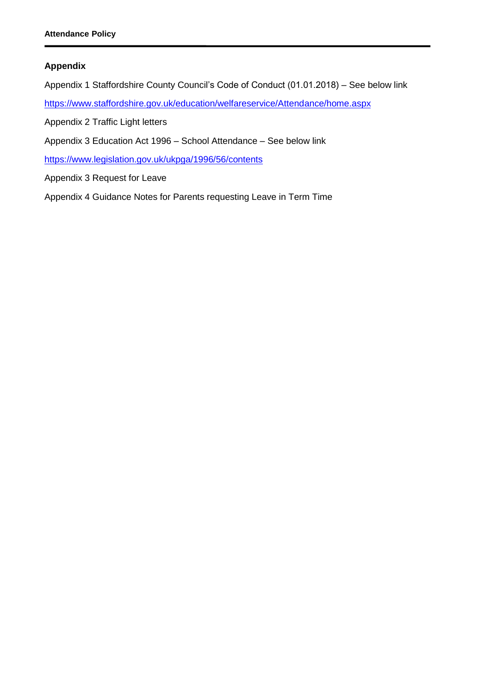## **Appendix**

- Appendix 1 Staffordshire County Council's Code of Conduct (01.01.2018) See below link
- <https://www.staffordshire.gov.uk/education/welfareservice/Attendance/home.aspx>
- Appendix 2 Traffic Light letters
- Appendix 3 Education Act 1996 School Attendance See below link

<https://www.legislation.gov.uk/ukpga/1996/56/contents>

- Appendix 3 Request for Leave
- Appendix 4 Guidance Notes for Parents requesting Leave in Term Time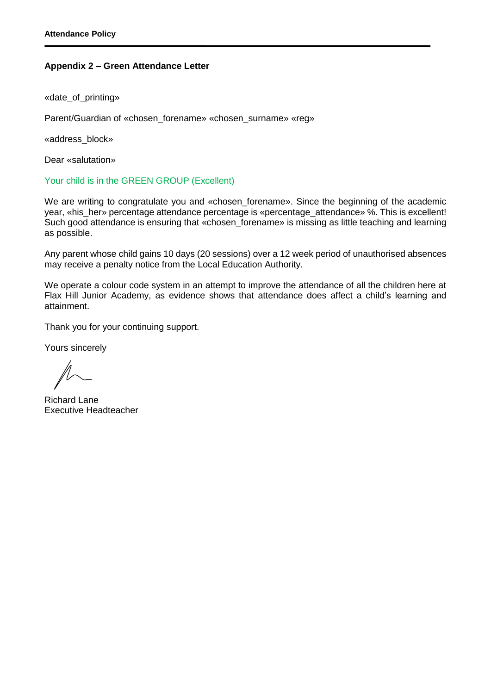#### **Appendix 2 – Green Attendance Letter**

«date\_of\_printing»

Parent/Guardian of «chosen\_forename» «chosen\_surname» «reg»

«address\_block»

Dear «salutation»

Your child is in the GREEN GROUP (Excellent)

We are writing to congratulate you and «chosen\_forename». Since the beginning of the academic year, «his her» percentage attendance percentage is «percentage attendance» %. This is excellent! Such good attendance is ensuring that «chosen forename» is missing as little teaching and learning as possible.

Any parent whose child gains 10 days (20 sessions) over a 12 week period of unauthorised absences may receive a penalty notice from the Local Education Authority.

We operate a colour code system in an attempt to improve the attendance of all the children here at Flax Hill Junior Academy, as evidence shows that attendance does affect a child's learning and attainment.

Thank you for your continuing support.

Yours sincerely

Richard Lane Executive Headteacher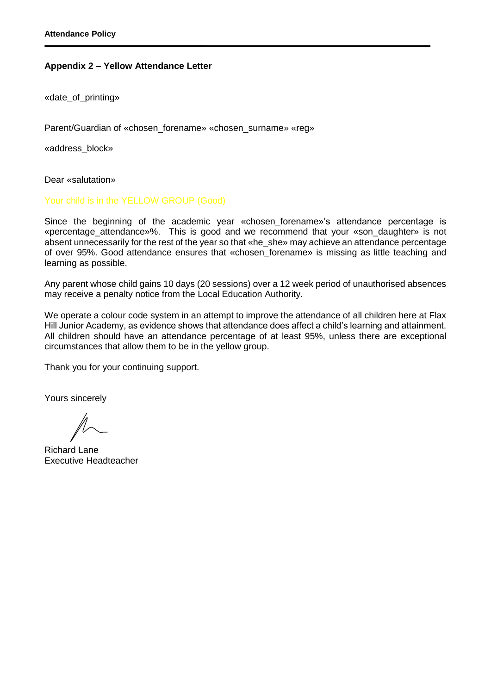#### **Appendix 2 – Yellow Attendance Letter**

«date\_of\_printing»

Parent/Guardian of «chosen forename» «chosen surname» «reg»

«address\_block»

Dear «salutation»

Your child is in the YELLOW GROUP (Good)

Since the beginning of the academic year «chosen\_forename»'s attendance percentage is «percentage\_attendance»%. This is good and we recommend that your «son\_daughter» is not absent unnecessarily for the rest of the year so that «he\_she» may achieve an attendance percentage of over 95%. Good attendance ensures that «chosen\_forename» is missing as little teaching and learning as possible.

Any parent whose child gains 10 days (20 sessions) over a 12 week period of unauthorised absences may receive a penalty notice from the Local Education Authority.

We operate a colour code system in an attempt to improve the attendance of all children here at Flax Hill Junior Academy, as evidence shows that attendance does affect a child's learning and attainment. All children should have an attendance percentage of at least 95%, unless there are exceptional circumstances that allow them to be in the yellow group.

Thank you for your continuing support.

Yours sincerely

Richard Lane Executive Headteacher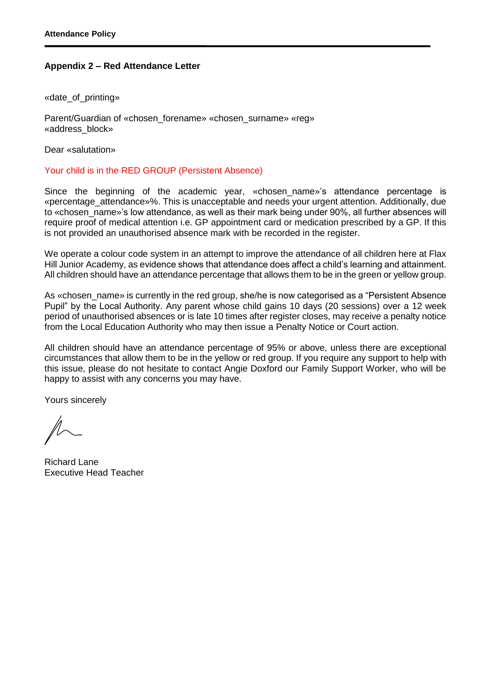## **Appendix 2 – Red Attendance Letter**

«date\_of\_printing»

Parent/Guardian of «chosen\_forename» «chosen\_surname» «reg» «address\_block»

Dear «salutation»

#### Your child is in the RED GROUP (Persistent Absence)

Since the beginning of the academic year, «chosen name»'s attendance percentage is «percentage\_attendance»%. This is unacceptable and needs your urgent attention. Additionally, due to «chosen\_name»'s low attendance, as well as their mark being under 90%, all further absences will require proof of medical attention i.e. GP appointment card or medication prescribed by a GP. If this is not provided an unauthorised absence mark with be recorded in the register.

We operate a colour code system in an attempt to improve the attendance of all children here at Flax Hill Junior Academy, as evidence shows that attendance does affect a child's learning and attainment. All children should have an attendance percentage that allows them to be in the green or yellow group.

As «chosen name» is currently in the red group, she/he is now categorised as a "Persistent Absence" Pupil" by the Local Authority. Any parent whose child gains 10 days (20 sessions) over a 12 week period of unauthorised absences or is late 10 times after register closes, may receive a penalty notice from the Local Education Authority who may then issue a Penalty Notice or Court action.

All children should have an attendance percentage of 95% or above, unless there are exceptional circumstances that allow them to be in the yellow or red group. If you require any support to help with this issue, please do not hesitate to contact Angie Doxford our Family Support Worker, who will be happy to assist with any concerns you may have.

Yours sincerely

Richard Lane Executive Head Teacher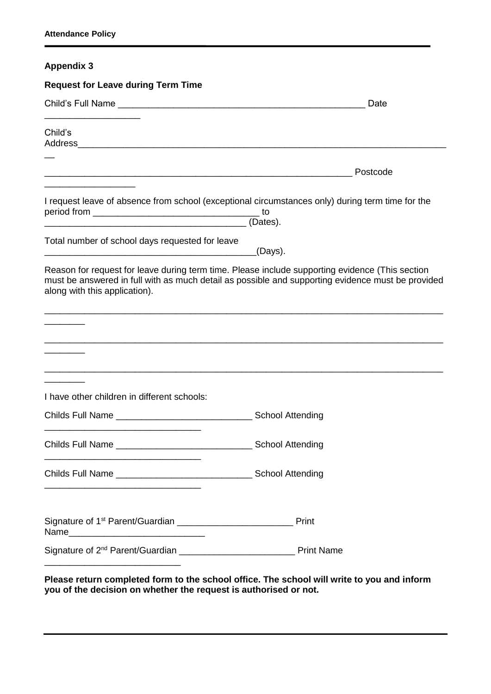# **Appendix 3**

| <b>Request for Leave during Term Time</b>                                                                                                                                                                                             |                         |
|---------------------------------------------------------------------------------------------------------------------------------------------------------------------------------------------------------------------------------------|-------------------------|
|                                                                                                                                                                                                                                       | Date                    |
| Child's                                                                                                                                                                                                                               |                         |
|                                                                                                                                                                                                                                       | Postcode                |
| I request leave of absence from school (exceptional circumstances only) during term time for the                                                                                                                                      |                         |
| Total number of school days requested for leave                                                                                                                                                                                       | <sub>-</sub> (Days).    |
| Reason for request for leave during term time. Please include supporting evidence (This section<br>must be answered in full with as much detail as possible and supporting evidence must be provided<br>along with this application). |                         |
|                                                                                                                                                                                                                                       |                         |
|                                                                                                                                                                                                                                       |                         |
| I have other children in different schools:                                                                                                                                                                                           |                         |
|                                                                                                                                                                                                                                       |                         |
| <b>Childs Full Name</b>                                                                                                                                                                                                               | <b>School Attending</b> |
|                                                                                                                                                                                                                                       |                         |
| Name <b>_________________________________</b> _____                                                                                                                                                                                   | Print                   |
|                                                                                                                                                                                                                                       |                         |

**Please return completed form to the school office. The school will write to you and inform you of the decision on whether the request is authorised or not.**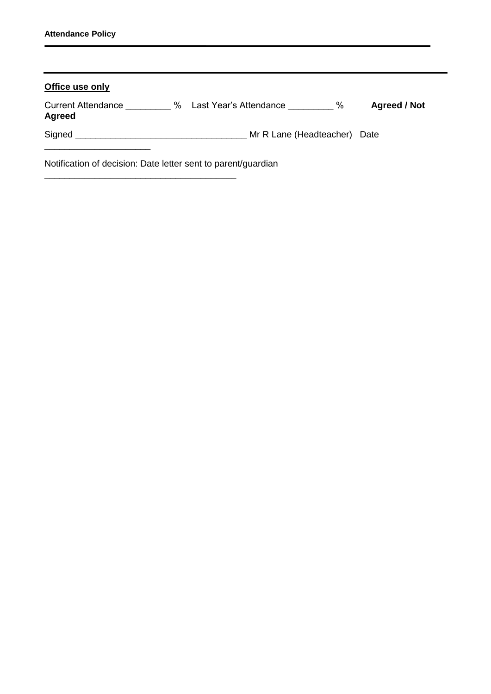\_\_\_\_\_\_\_\_\_\_\_\_\_\_\_\_\_\_\_\_\_\_\_\_\_\_\_\_\_\_\_\_\_\_\_\_\_\_

| Office use only                                               |                              |                     |  |  |  |  |
|---------------------------------------------------------------|------------------------------|---------------------|--|--|--|--|
| <b>Current Attendance</b><br>%<br><b>Agreed</b>               | %<br>Last Year's Attendance  | <b>Agreed / Not</b> |  |  |  |  |
| Signed <b>Signed</b>                                          | Mr R Lane (Headteacher) Date |                     |  |  |  |  |
| Notification of decision: Date letter sent to parent/guardian |                              |                     |  |  |  |  |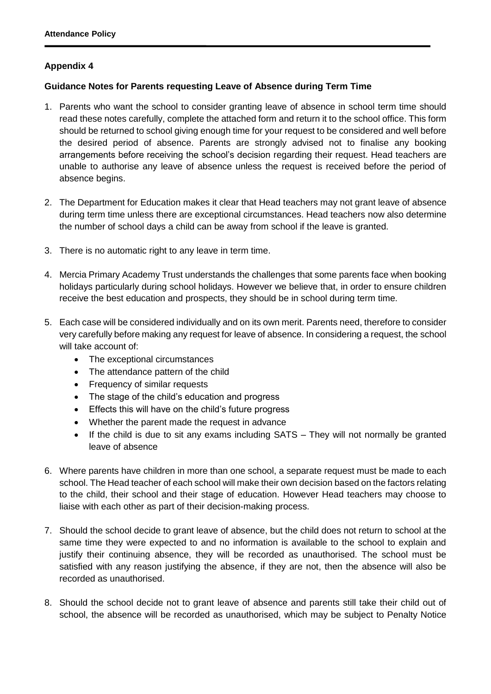## **Appendix 4**

## **Guidance Notes for Parents requesting Leave of Absence during Term Time**

- 1. Parents who want the school to consider granting leave of absence in school term time should read these notes carefully, complete the attached form and return it to the school office. This form should be returned to school giving enough time for your request to be considered and well before the desired period of absence. Parents are strongly advised not to finalise any booking arrangements before receiving the school's decision regarding their request. Head teachers are unable to authorise any leave of absence unless the request is received before the period of absence begins.
- 2. The Department for Education makes it clear that Head teachers may not grant leave of absence during term time unless there are exceptional circumstances. Head teachers now also determine the number of school days a child can be away from school if the leave is granted.
- 3. There is no automatic right to any leave in term time.
- 4. Mercia Primary Academy Trust understands the challenges that some parents face when booking holidays particularly during school holidays. However we believe that, in order to ensure children receive the best education and prospects, they should be in school during term time.
- 5. Each case will be considered individually and on its own merit. Parents need, therefore to consider very carefully before making any request for leave of absence. In considering a request, the school will take account of:
	- The exceptional circumstances
	- The attendance pattern of the child
	- Frequency of similar requests
	- The stage of the child's education and progress
	- Effects this will have on the child's future progress
	- Whether the parent made the request in advance
	- If the child is due to sit any exams including SATS They will not normally be granted leave of absence
- 6. Where parents have children in more than one school, a separate request must be made to each school. The Head teacher of each school will make their own decision based on the factors relating to the child, their school and their stage of education. However Head teachers may choose to liaise with each other as part of their decision-making process.
- 7. Should the school decide to grant leave of absence, but the child does not return to school at the same time they were expected to and no information is available to the school to explain and justify their continuing absence, they will be recorded as unauthorised. The school must be satisfied with any reason justifying the absence, if they are not, then the absence will also be recorded as unauthorised.
- 8. Should the school decide not to grant leave of absence and parents still take their child out of school, the absence will be recorded as unauthorised, which may be subject to Penalty Notice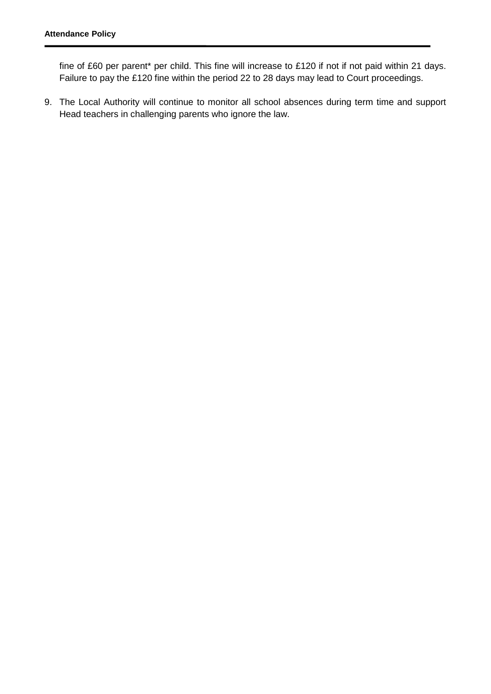fine of £60 per parent\* per child. This fine will increase to £120 if not if not paid within 21 days. Failure to pay the £120 fine within the period 22 to 28 days may lead to Court proceedings.

9. The Local Authority will continue to monitor all school absences during term time and support Head teachers in challenging parents who ignore the law.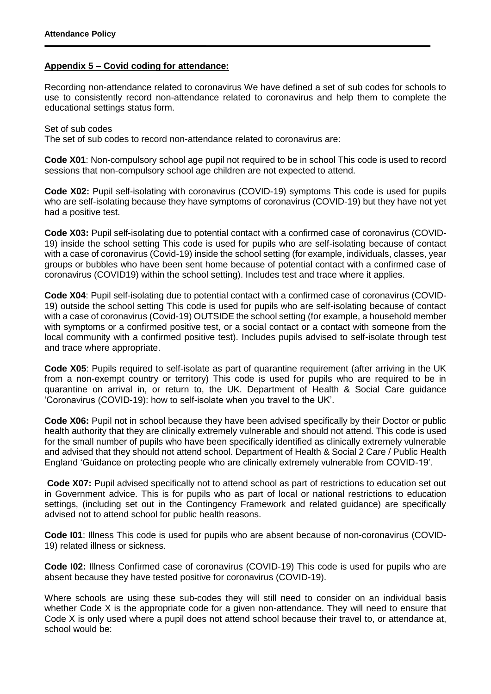#### **Appendix 5 – Covid coding for attendance:**

Recording non-attendance related to coronavirus We have defined a set of sub codes for schools to use to consistently record non-attendance related to coronavirus and help them to complete the educational settings status form.

#### Set of sub codes

The set of sub codes to record non-attendance related to coronavirus are:

**Code X01**: Non-compulsory school age pupil not required to be in school This code is used to record sessions that non-compulsory school age children are not expected to attend.

**Code X02:** Pupil self-isolating with coronavirus (COVID-19) symptoms This code is used for pupils who are self-isolating because they have symptoms of coronavirus (COVID-19) but they have not yet had a positive test.

**Code X03:** Pupil self-isolating due to potential contact with a confirmed case of coronavirus (COVID-19) inside the school setting This code is used for pupils who are self-isolating because of contact with a case of coronavirus (Covid-19) inside the school setting (for example, individuals, classes, year groups or bubbles who have been sent home because of potential contact with a confirmed case of coronavirus (COVID19) within the school setting). Includes test and trace where it applies.

**Code X04:** Pupil self-isolating due to potential contact with a confirmed case of coronavirus (COVID-19) outside the school setting This code is used for pupils who are self-isolating because of contact with a case of coronavirus (Covid-19) OUTSIDE the school setting (for example, a household member with symptoms or a confirmed positive test, or a social contact or a contact with someone from the local community with a confirmed positive test). Includes pupils advised to self-isolate through test and trace where appropriate.

**Code X05**: Pupils required to self-isolate as part of quarantine requirement (after arriving in the UK from a non-exempt country or territory) This code is used for pupils who are required to be in quarantine on arrival in, or return to, the UK. Department of Health & Social Care guidance 'Coronavirus (COVID-19): how to self-isolate when you travel to the UK'.

**Code X06:** Pupil not in school because they have been advised specifically by their Doctor or public health authority that they are clinically extremely vulnerable and should not attend. This code is used for the small number of pupils who have been specifically identified as clinically extremely vulnerable and advised that they should not attend school. Department of Health & Social 2 Care / Public Health England 'Guidance on protecting people who are clinically extremely vulnerable from COVID-19'.

**Code X07:** Pupil advised specifically not to attend school as part of restrictions to education set out in Government advice. This is for pupils who as part of local or national restrictions to education settings, (including set out in the Contingency Framework and related guidance) are specifically advised not to attend school for public health reasons.

**Code I01**: Illness This code is used for pupils who are absent because of non-coronavirus (COVID-19) related illness or sickness.

**Code I02:** Illness Confirmed case of coronavirus (COVID-19) This code is used for pupils who are absent because they have tested positive for coronavirus (COVID-19).

Where schools are using these sub-codes they will still need to consider on an individual basis whether Code X is the appropriate code for a given non-attendance. They will need to ensure that Code X is only used where a pupil does not attend school because their travel to, or attendance at, school would be: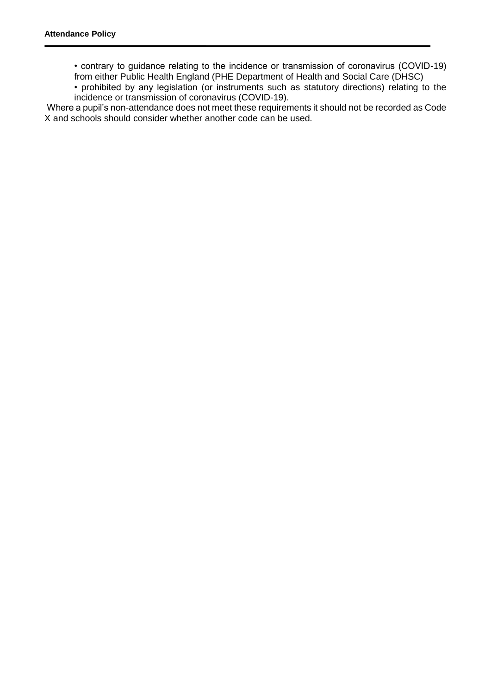• contrary to guidance relating to the incidence or transmission of coronavirus (COVID-19) from either Public Health England (PHE Department of Health and Social Care (DHSC)

• prohibited by any legislation (or instruments such as statutory directions) relating to the incidence or transmission of coronavirus (COVID-19).

Where a pupil's non-attendance does not meet these requirements it should not be recorded as Code X and schools should consider whether another code can be used.